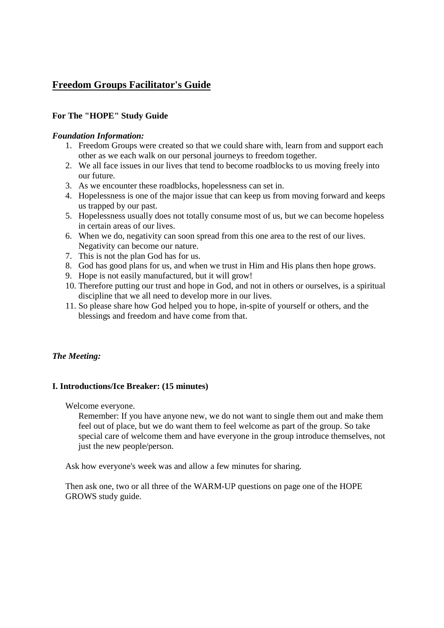# **Freedom Groups Facilitator's Guide**

## **For The "HOPE" Study Guide**

#### *Foundation Information:*

- 1. Freedom Groups were created so that we could share with, learn from and support each other as we each walk on our personal journeys to freedom together.
- 2. We all face issues in our lives that tend to become roadblocks to us moving freely into our future.
- 3. As we encounter these roadblocks, hopelessness can set in.
- 4. Hopelessness is one of the major issue that can keep us from moving forward and keeps us trapped by our past.
- 5. Hopelessness usually does not totally consume most of us, but we can become hopeless in certain areas of our lives.
- 6. When we do, negativity can soon spread from this one area to the rest of our lives. Negativity can become our nature.
- 7. This is not the plan God has for us.
- 8. God has good plans for us, and when we trust in Him and His plans then hope grows.
- 9. Hope is not easily manufactured, but it will grow!
- 10. Therefore putting our trust and hope in God, and not in others or ourselves, is a spiritual discipline that we all need to develop more in our lives.
- 11. So please share how God helped you to hope, in-spite of yourself or others, and the blessings and freedom and have come from that.

## *The Meeting:*

## **I. Introductions/Ice Breaker: (15 minutes)**

Welcome everyone.

Remember: If you have anyone new, we do not want to single them out and make them feel out of place, but we do want them to feel welcome as part of the group. So take special care of welcome them and have everyone in the group introduce themselves, not just the new people/person.

Ask how everyone's week was and allow a few minutes for sharing.

Then ask one, two or all three of the WARM-UP questions on page one of the HOPE GROWS study guide.